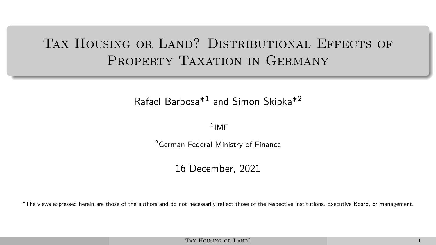# <span id="page-0-0"></span>TAX HOUSING OR LAND? DISTRIBUTIONAL EFFECTS OF PROPERTY TAXATION IN GERMANY

#### Rafael Barbosa\*<sup>1</sup> and Simon Skipka\*<sup>2</sup>

#### <sup>1</sup>IMF

<sup>2</sup>German Federal Ministry of Finance

#### 16 December, 2021

\*The views expressed herein are those of the authors and do not necessarily reflect those of the respective Institutions, Executive Board, or management.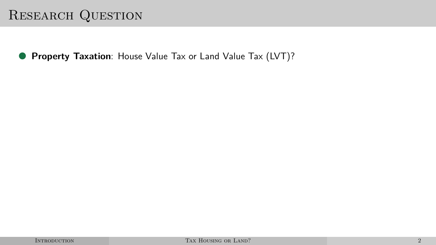# <span id="page-1-0"></span>RESEARCH QUESTION

● **Property Taxation**: House Value Tax or Land Value Tax (LVT)?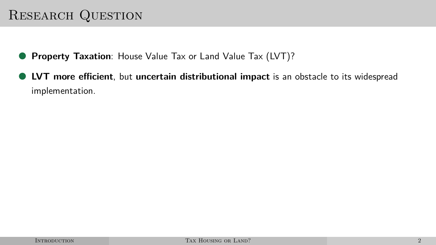# Research Question

- **Property Taxation**: House Value Tax or Land Value Tax (LVT)?
- **LVT more efficient**, but **uncertain distributional impact** is an obstacle to its widespread implementation.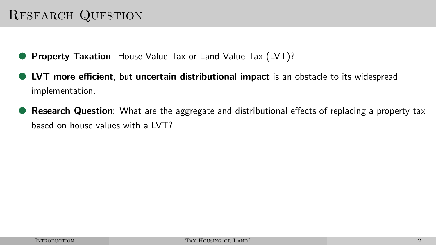# Research Question

- **Property Taxation:** House Value Tax or Land Value Tax (LVT)?
- **LVT more efficient**, but **uncertain distributional impact** is an obstacle to its widespread implementation.
- **Research Question**: What are the aggregate and distributional effects of replacing a property tax based on house values with a LVT?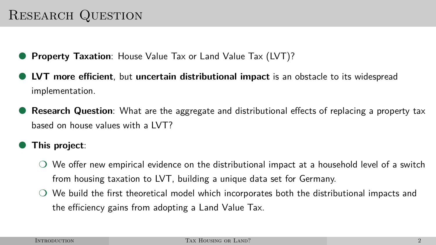# Research Question

- **Property Taxation:** House Value Tax or Land Value Tax (LVT)?
- **LVT more efficient**, but **uncertain distributional impact** is an obstacle to its widespread implementation.
- **Research Question**: What are the aggregate and distributional effects of replacing a property tax based on house values with a LVT?
- **This project**:
	- $\bigcirc$  We offer new empirical evidence on the distributional impact at a household level of a switch from housing taxation to LVT, building a unique data set for Germany.
	- ❍ We build the first theoretical model which incorporates both the distributional impacts and the efficiency gains from adopting a Land Value Tax.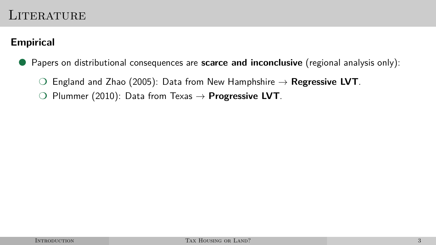### LITER ATURE

#### **Empirical**

● Papers on distributional consequences are **scarce and inconclusive** (regional analysis only):

- ❍ England and Zhao (2005): Data from New Hamphshire → **Regressive LVT**.
- ❍ Plummer (2010): Data from Texas → **Progressive LVT**.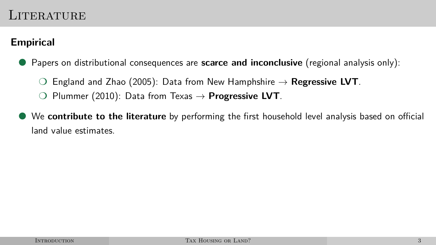### LITERATURE

#### **Empirical**

● Papers on distributional consequences are **scarce and inconclusive** (regional analysis only):

- ❍ England and Zhao (2005): Data from New Hamphshire → **Regressive LVT**.
- ◯ Plummer (2010): Data from Texas  $\rightarrow$  **Progressive LVT**.
- We **contribute to the literature** by performing the first household level analysis based on official land value estimates.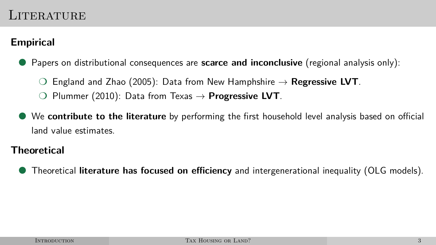### LITER ATURE

#### **Empirical**

● Papers on distributional consequences are **scarce and inconclusive** (regional analysis only):

- England and Zhao (2005): Data from New Hamphshire  $\rightarrow$  **Regressive LVT**.
- ◯ Plummer (2010): Data from Texas  $\rightarrow$  **Progressive LVT**.
- We **contribute to the literature** by performing the first household level analysis based on official land value estimates.

#### **Theoretical**

● Theoretical **literature has focused on efficiency** and intergenerational inequality (OLG models).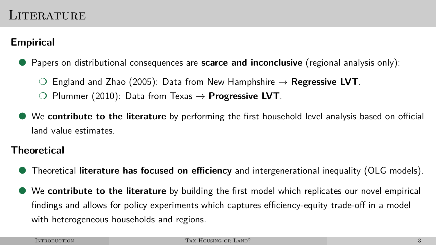#### **Empirical**

● Papers on distributional consequences are **scarce and inconclusive** (regional analysis only):

- England and Zhao (2005): Data from New Hamphshire  $\rightarrow$  **Regressive LVT**.
- ◯ Plummer (2010): Data from Texas  $\rightarrow$  **Progressive LVT**.
- We **contribute to the literature** by performing the first household level analysis based on official land value estimates.

#### **Theoretical**

- Theoretical **literature has focused on efficiency** and intergenerational inequality (OLG models).
- We **contribute to the literature** by building the first model which replicates our novel empirical findings and allows for policy experiments which captures efficiency-equity trade-off in a model with heterogeneous households and regions.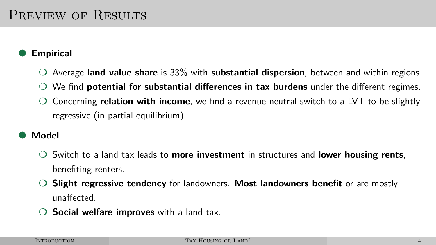#### **Empirical**

- ❍ Average **land value share** is 33% with **substantial dispersion**, between and within regions.
- ❍ We find **potential for substantial differences in tax burdens** under the different regimes.
- ❍ Concerning **relation with income**, we find a revenue neutral switch to a LVT to be slightly regressive (in partial equilibrium).

#### ● **Model**

- ❍ Switch to a land tax leads to **more investment** in structures and **lower housing rents**, benefiting renters.
- ❍ **Slight regressive tendency** for landowners. **Most landowners benefit** or are mostly unaffected.
- Social welfare improves with a land tax.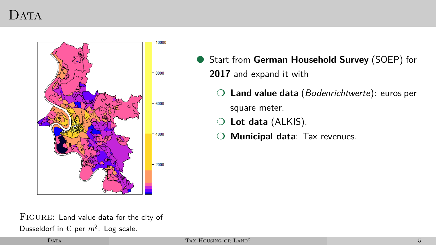### <span id="page-10-0"></span> $DATA$



- Start from German Household Survey (SOEP) for **2017** and expand it with
	- ❍ **Land value data** (Bodenrichtwerte): euros per square meter.
	- ❍ **Lot data** (ALKIS).
	- ❍ **Municipal data**: Tax revenues.

FIGURE: Land value data for the city of Dusseldorf in  $\epsilon$  per  $m^2$ . Log scale.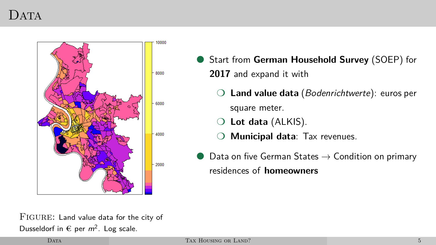### $DATA$



- Start from German Household Survey (SOEP) for **2017** and expand it with
	- ❍ **Land value data** (Bodenrichtwerte): euros per square meter.
	- ❍ **Lot data** (ALKIS).
	- ❍ **Municipal data**: Tax revenues.
- $\bullet$  Data on five German States  $\rightarrow$  Condition on primary residences of **homeowners**

FIGURE: Land value data for the city of Dusseldorf in  $\epsilon$  per  $m^2$ . Log scale.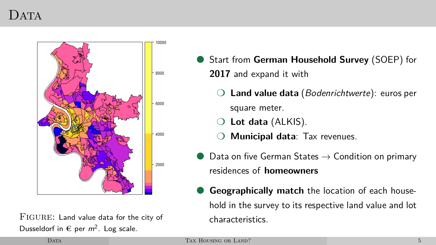## $\Gamma$ ATA



FIGURE: Land value data for the city of Dusseldorf in  $\epsilon$  per  $m^2$ . Log scale.

- Start from German Household Survey (SOEP) for **2017** and expand it with
	- ❍ **Land value data** (Bodenrichtwerte): euros per square meter.
	- ❍ **Lot data** (ALKIS).
	- ❍ **Municipal data**: Tax revenues.
- $\bullet$  Data on five German States  $\rightarrow$  Condition on primary residences of **homeowners**
- **Geographically match** the location of each household in the survey to its respective land value and lot characteristics.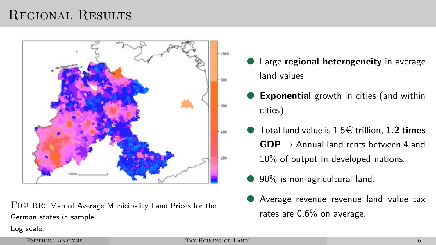# <span id="page-13-0"></span>Regional Results



FIGURE: Map of Average Municipality Land Prices for the German states in sample.

- Large **regional heterogeneity** in average land values.
- **Exponential** growth in cities (and within cities)
- Total land value is 1.5¤ trillion, **1.2 times**  $GDP \rightarrow$  Annual land rents between 4 and 10% of output in developed nations.
	- 90% is non-agricultural land.
	- Average revenue revenue land value tax rates are 0.6% on average.

Log scale.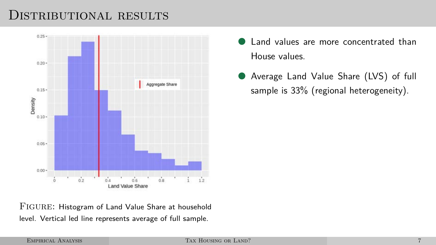### DISTRIBUTIONAL RESULTS

<span id="page-14-0"></span>

- Land values are more concentrated than House values.
- Average Land Value Share (LVS) of full sample is 33% (regional heterogeneity).

FIGURE: Histogram of Land Value Share at household level. Vertical led line represents average of full sample.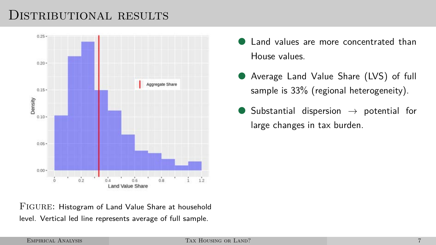### DISTRIBUTIONAL RESULTS



- Land values are more concentrated than House values.
- Average Land Value Share (LVS) of full sample is 33% (regional heterogeneity).
- Substantial dispersion  $\rightarrow$  potential for large changes in tax burden.

FIGURE: Histogram of Land Value Share at household level. Vertical led line represents average of full sample.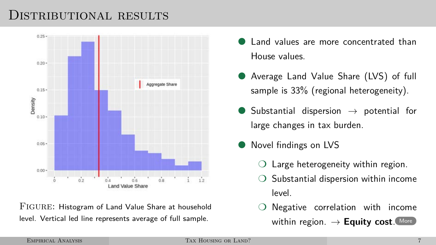### DISTRIBUTIONAL RESULTS



Figure: Histogram of Land Value Share at household level. Vertical led line represents average of full sample.

- Land values are more concentrated than House values.
- Average Land Value Share (LVS) of full sample is 33% (regional heterogeneity).
- Substantial dispersion  $\rightarrow$  potential for large changes in tax burden.
- Novel findings on LVS
	- $\bigcirc$  Large heterogeneity within region.
	- ❍ Substantial dispersion within income level.
	- Negative correlation with income within region.  $\rightarrow$  **Equity cost.** [More](#page-38-0)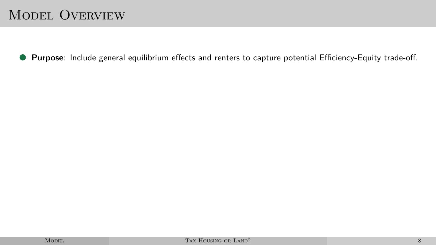# <span id="page-17-0"></span>Model Overview

● **Purpose**: Include general equilibrium effects and renters to capture potential Efficiency-Equity trade-off.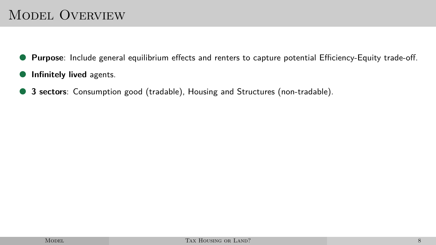# Model Overview

- Purpose: Include general equilibrium effects and renters to capture potential Efficiency-Equity trade-off.
- **Infinitely lived** agents.
- **3 sectors**: Consumption good (tradable), Housing and Structures (non-tradable).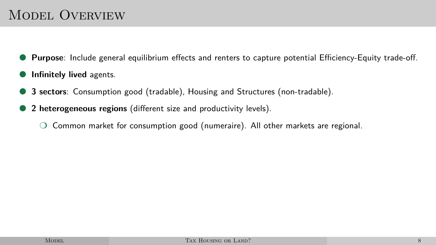# MODEL OVERVIEW

- **Purpose**: Include general equilibrium effects and renters to capture potential Efficiency-Equity trade-off.
- **Infinitely lived** agents.
- **3 sectors**: Consumption good (tradable), Housing and Structures (non-tradable).
- **2 heterogeneous regions** (different size and productivity levels).
	- ❍ Common market for consumption good (numeraire). All other markets are regional.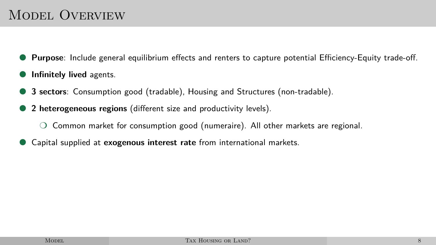# MODEL OVERVIEW

- **Purpose**: Include general equilibrium effects and renters to capture potential Efficiency-Equity trade-off.
- **Infinitely lived** agents.
- **3 sectors**: Consumption good (tradable), Housing and Structures (non-tradable).
- **2 heterogeneous regions** (different size and productivity levels).
	- ❍ Common market for consumption good (numeraire). All other markets are regional.
- Capital supplied at **exogenous interest rate** from international markets.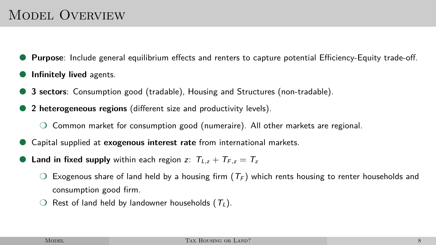# MODEL OVERVIEW

- **Purpose**: Include general equilibrium effects and renters to capture potential Efficiency-Equity trade-off.
- **Infinitely lived** agents.
- **3 sectors**: Consumption good (tradable), Housing and Structures (non-tradable).
- 2 **heterogeneous regions** (different size and productivity levels).
	- ❍ Common market for consumption good (numeraire). All other markets are regional.
- Capital supplied at **exogenous interest rate** from international markets.
- **Land in fixed supply** within each region z:  $T_{L,z} + T_{F,z} = T_z$ 
	- Exogenous share of land held by a housing firm ( $T_F$ ) which rents housing to renter households and consumption good firm.
	- $\bigcirc$  Rest of land held by landowner households  $(T_L)$ .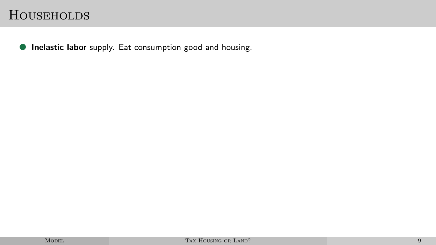<span id="page-22-0"></span>● **Inelastic labor** supply. Eat consumption good and housing.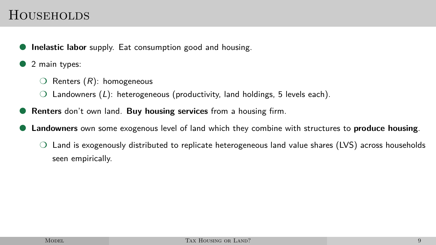- **Inelastic labor** supply. Eat consumption good and housing.
- 2 main types:
	- $\bigcirc$  Renters  $(R)$ : homogeneous
	- $\bigcirc$  Landowners (L): heterogeneous (productivity, land holdings, 5 levels each).
- **Renters** don't own land. **Buy housing services** from a housing firm.
- **Landowners** own some exogenous level of land which they combine with structures to **produce housing**.
	- ❍ Land is exogenously distributed to replicate heterogeneous land value shares (LVS) across households seen empirically.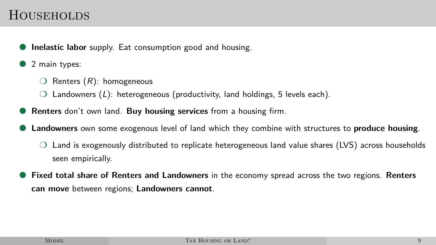- **Inelastic labor** supply. Eat consumption good and housing.
- 2 main types:
	- $\bigcirc$  Renters  $(R)$ : homogeneous
	- $\bigcirc$  Landowners (L): heterogeneous (productivity, land holdings, 5 levels each).
- **Renters** don't own land. **Buy housing services** from a housing firm.
- **Landowners** own some exogenous level of land which they combine with structures to **produce housing**.
	- ❍ Land is exogenously distributed to replicate heterogeneous land value shares (LVS) across households seen empirically.
- **Fixed total share of Renters and Landowners** in the economy spread across the two regions. **Renters can move** between regions; **Landowners cannot**.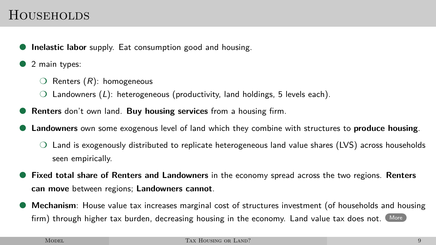- **Inelastic labor** supply. Eat consumption good and housing.
- 2 main types:
	- $\bigcirc$  Renters  $(R)$ : homogeneous
	- $\bigcirc$  Landowners (L): heterogeneous (productivity, land holdings, 5 levels each).
- **Renters** don't own land. **Buy housing services** from a housing firm.
- **Landowners** own some exogenous level of land which they combine with structures to **produce housing**.
	- ❍ Land is exogenously distributed to replicate heterogeneous land value shares (LVS) across households seen empirically.
- **Fixed total share of Renters and Landowners** in the economy spread across the two regions. **Renters can move** between regions; **Landowners cannot**.
- Mechanism: House value tax increases marginal cost of structures investment (of households and housing firm) through higher tax burden, decreasing housing in the economy. Land value tax does not. [More](#page-40-0)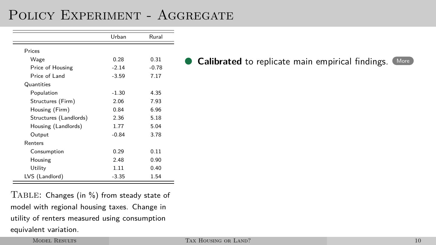<span id="page-26-1"></span><span id="page-26-0"></span>

|                        | Urban   | Rural   |
|------------------------|---------|---------|
| Prices                 |         |         |
| Wage                   | 0.28    | 0.31    |
| Price of Housing       | $-2.14$ | $-0.78$ |
| Price of Land          | $-3.59$ | 7.17    |
| Quantities             |         |         |
| Population             | $-1.30$ | 4.35    |
| Structures (Firm)      | 2.06    | 7.93    |
| Housing (Firm)         | 0.84    | 6.96    |
| Structures (Landlords) | 2.36    | 5.18    |
| Housing (Landlords)    | 1.77    | 5.04    |
| Output                 | $-0.84$ | 3.78    |
| Renters                |         |         |
| Consumption            | 0.29    | 0.11    |
| Housing                | 2.48    | 0.90    |
| Utility                | 1.11    | 0.40    |
| LVS (Landlord)         | $-3.35$ | 1.54    |

**Calibrated** to replicate main empirical findings. [More](#page-43-0)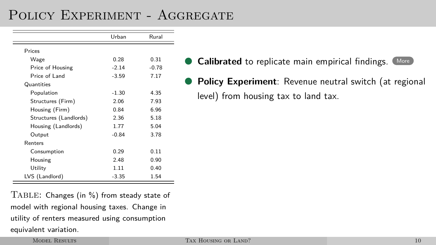|                        | Urban   | Rural   |
|------------------------|---------|---------|
| Prices                 |         |         |
| Wage                   | 0.28    | 0.31    |
| Price of Housing       | $-2.14$ | $-0.78$ |
| Price of Land          | $-3.59$ | 7.17    |
| Quantities             |         |         |
| Population             | $-1.30$ | 4.35    |
| Structures (Firm)      | 2.06    | 7.93    |
| Housing (Firm)         | 0.84    | 6.96    |
| Structures (Landlords) | 2.36    | 5.18    |
| Housing (Landlords)    | 1.77    | 5.04    |
| Output                 | $-0.84$ | 3.78    |
| Renters                |         |         |
| Consumption            | 0.29    | 0.11    |
| Housing                | 2.48    | 0.90    |
| Utility                | 1.11    | 0.40    |
| LVS (Landlord)         | $-3.35$ | 1.54    |

- **Calibrated** to replicate main empirical findings. [More](#page-43-0)
- **Policy Experiment:** Revenue neutral switch (at regional level) from housing tax to land tax.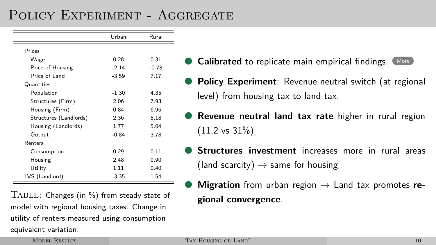|                        | Urban   | Rural   |
|------------------------|---------|---------|
| Prices                 |         |         |
| Wage                   | 0.28    | 0.31    |
| Price of Housing       | $-2.14$ | $-0.78$ |
| Price of Land          | $-3.59$ | 7.17    |
| Quantities             |         |         |
| Population             | $-1.30$ | 4.35    |
| Structures (Firm)      | 2.06    | 7.93    |
| Housing (Firm)         | 0.84    | 6.96    |
| Structures (Landlords) | 2.36    | 5.18    |
| Housing (Landlords)    | 1.77    | 5.04    |
| Output                 | $-0.84$ | 3.78    |
| Renters                |         |         |
| Consumption            | 0.29    | 0.11    |
| Housing                | 2.48    | 0.90    |
| Utility                | 1.11    | 0.40    |
| LVS (Landlord)         | $-3.35$ | 1.54    |

- **Calibrated** to replicate main empirical findings. [More](#page-43-0)
- **Policy Experiment:** Revenue neutral switch (at regional level) from housing tax to land tax.
- **Revenue neutral land tax rate** higher in rural region (11.2 vs 31%)
- **Structures investment** increases more in rural areas (land scarcity)  $\rightarrow$  same for housing
- **Migration** from urban region  $\rightarrow$  Land tax promotes re**gional convergence**.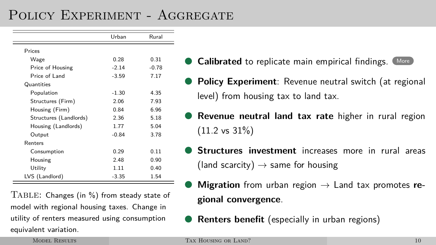|                        | Urban   | Rural   |
|------------------------|---------|---------|
| Prices                 |         |         |
| Wage                   | 0.28    | 0.31    |
| Price of Housing       | $-2.14$ | $-0.78$ |
| Price of Land          | $-3.59$ | 7.17    |
| Quantities             |         |         |
| Population             | $-1.30$ | 4.35    |
| Structures (Firm)      | 2.06    | 7.93    |
| Housing (Firm)         | 0.84    | 6.96    |
| Structures (Landlords) | 2.36    | 5.18    |
| Housing (Landlords)    | 1.77    | 5.04    |
| Output                 | $-0.84$ | 3.78    |
| Renters                |         |         |
| Consumption            | 0.29    | 0.11    |
| Housing                | 2.48    | 0.90    |
| Utility                | 1.11    | 0.40    |
| LVS (Landlord)         | $-3.35$ | 1.54    |

- **Calibrated** to replicate main empirical findings. [More](#page-43-0)
- **Policy Experiment:** Revenue neutral switch (at regional level) from housing tax to land tax.
- **Revenue neutral land tax rate** higher in rural region  $(11.2 \text{ vs } 31\%)$
- **Structures investment** increases more in rural areas (land scarcity)  $\rightarrow$  same for housing
- **Migration** from urban region  $\rightarrow$  Land tax promotes re**gional convergence**.
- **Renters benefit** (especially in urban regions)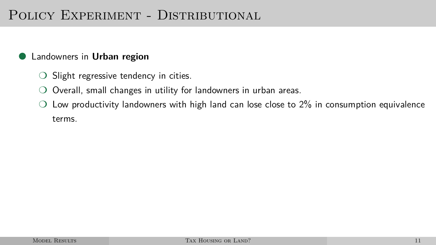#### <span id="page-30-0"></span>**Landowners in Urban region**

- ◯ Slight regressive tendency in cities.
- Overall, small changes in utility for landowners in urban areas.
- $\bigcirc$  Low productivity landowners with high land can lose close to 2% in consumption equivalence terms.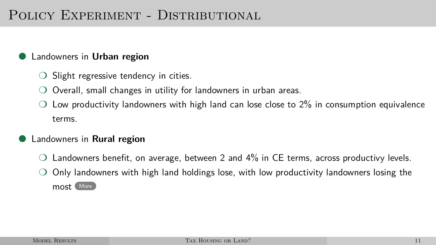#### **Landowners in Urban region**

- ◯ Slight regressive tendency in cities.
- ❍ Overall, small changes in utility for landowners in urban areas.
- Low productivity landowners with high land can lose close to 2% in consumption equivalence terms.

#### **Landowners in Rural region**

- Landowners benefit, on average, between 2 and 4% in CE terms, across productivy levels.
- ❍ Only landowners with high land holdings lose, with low productivity landowners losing the most [More](#page-53-0)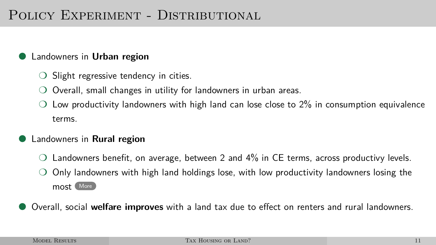#### **Landowners in Urban region**

- ◯ Slight regressive tendency in cities.
- ❍ Overall, small changes in utility for landowners in urban areas.
- Low productivity landowners with high land can lose close to 2% in consumption equivalence terms.

#### **Landowners in Rural region**

- Landowners benefit, on average, between 2 and 4% in CE terms, across productivy levels.
- ❍ Only landowners with high land holdings lose, with low productivity landowners losing the most [More](#page-53-0)
- Overall, social **welfare improves** with a land tax due to effect on renters and rural landowners.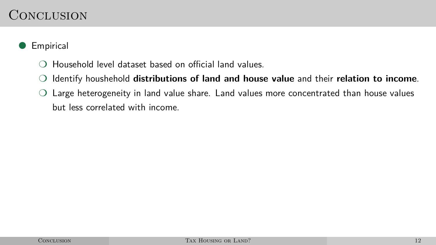## <span id="page-33-0"></span>**CONCLUSION**

#### **Empirical**

- ❍ Household level dataset based on official land values.
- ❍ Identify houshehold **distributions of land and house value** and their **relation to income**.
- ❍ Large heterogeneity in land value share. Land values more concentrated than house values but less correlated with income.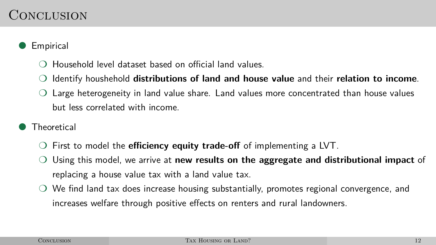## CONCLUSION

#### **Empirical**

- ❍ Household level dataset based on official land values.
- ❍ Identify houshehold **distributions of land and house value** and their **relation to income**.
- ❍ Large heterogeneity in land value share. Land values more concentrated than house values but less correlated with income.
- **Theoretical** 
	- ❍ First to model the **efficiency equity trade-off** of implementing a LVT.
	- ❍ Using this model, we arrive at **new results on the aggregate and distributional impact** of replacing a house value tax with a land value tax.
	- ❍ We find land tax does increase housing substantially, promotes regional convergence, and increases welfare through positive effects on renters and rural landowners.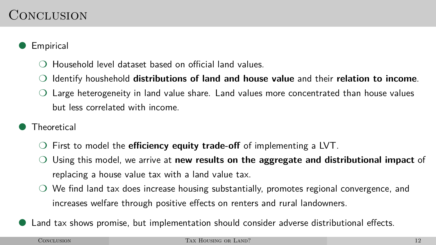## CONCLUSION

#### **Empirical**

- ❍ Household level dataset based on official land values.
- ❍ Identify houshehold **distributions of land and house value** and their **relation to income**.
- ❍ Large heterogeneity in land value share. Land values more concentrated than house values but less correlated with income.
- **Theoretical** 
	- ❍ First to model the **efficiency equity trade-off** of implementing a LVT.
	- ❍ Using this model, we arrive at **new results on the aggregate and distributional impact** of replacing a house value tax with a land value tax.
	- ❍ We find land tax does increase housing substantially, promotes regional convergence, and increases welfare through positive effects on renters and rural landowners.
- Land tax shows promise, but implementation should consider adverse distributional effects.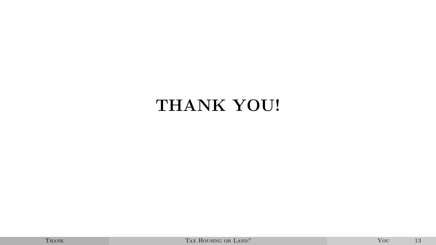# <span id="page-36-0"></span>**THANK YOU!**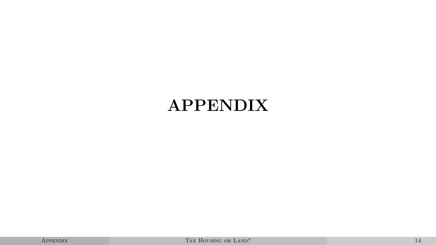# <span id="page-37-0"></span>**APPENDIX**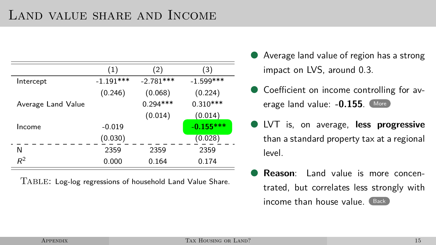## Land value share and Income

<span id="page-38-0"></span>

|                    | (1)         | (2)         | (3)         |
|--------------------|-------------|-------------|-------------|
| Intercept          | $-1.191***$ | $-2.781***$ | $-1.599***$ |
|                    | (0.246)     | (0.068)     | (0.224)     |
| Average Land Value |             | $0.294***$  | $0.310***$  |
|                    |             | (0.014)     | (0.014)     |
| Income             | $-0.019$    |             | $-0.155***$ |
|                    | (0.030)     |             | (0.028)     |
| N                  | 2359        | 2359        | 2359        |
| $R^2$              | 0.000       | 0.164       | 0.174       |

Table: Log-log regressions of household Land Value Share.

- Average land value of region has a strong impact on LVS, around 0.3.
- Coefficient on income controlling for av-erage land value: -0.155. [More](#page-39-0)
- LVT is, on average, **less progressive** than a standard property tax at a regional level.
- **Reason**: Land value is more concentrated, but correlates less strongly with  $income$  than house value.  $Back$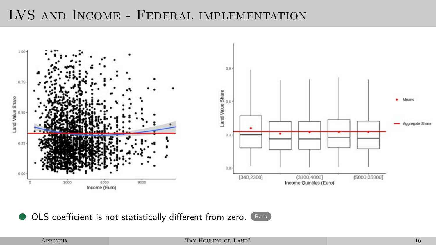### LVS and Income - Federal implementation

<span id="page-39-0"></span>

● OLS coefficient is not statistically different from zero. [Back](#page-38-0)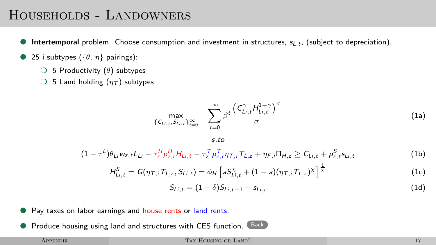## Households - Landowners

- <span id="page-40-0"></span>● **Intertemporal** problem. Choose consumption and investment in structures, s<sub>L,t</sub>, (subject to depreciation).
- $\bullet$  25 i subtypes ({ $\theta$ ,  $\eta$ } pairings):
	- ❍ 5 Productivity (*θ*) subtypes
	- $\bigcirc$  5 Land holding  $(\eta_{\mathcal{T}})$  subtypes

$$
\max_{\{C_{Li,t}, S_{Li,t}\}_{t=0}^{\infty}} \quad \sum_{t=0}^{\infty} \beta^t \frac{\left(C_{Li,t}^{\gamma} H_{Li,t}^{1-\gamma}\right)^{\sigma}}{\sigma} \tag{1a}
$$

$$
s.to
$$

$$
(1 - \tau^{L})\theta_{Li}w_{z,t}L_{Li} - \tau_{z}^{H}p_{z,t}^{H}H_{Li,t} - \tau_{z}^{T}p_{z,t}^{T}\eta\tau_{,i}T_{L,z} + \eta_{F,i}\Pi_{H,z} \geq C_{Li,t} + p_{z,t}^{S}s_{Li,t}
$$
(1b)

$$
H_{Li,t}^S = G(\eta_{\tau,i} T_{L,z}, S_{Li,t}) = \phi_H \left[ a S_{Li,t}^\chi + (1 - a)(\eta_{\tau,i} T_{L,z})^\chi \right]^{\frac{1}{\chi}} \tag{1c}
$$

$$
S_{Li,t} = (1 - \delta)S_{Li,t-1} + s_{Li,t}
$$
 (1d)

- Pay taxes on labor earnings and house rents or land rents.
- Produce housing using land and structures with CES function. [Back](#page-22-0)

#### APPENDIX **TAX HOUSING OR LAND?** 17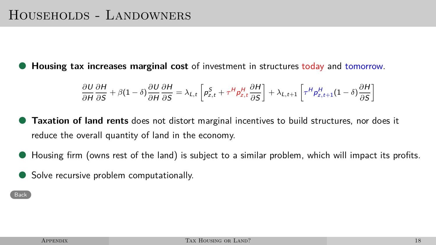**Housing tax increases marginal cost** of investment in structures today and tomorrow.

$$
\frac{\partial U}{\partial H} \frac{\partial H}{\partial S} + \beta (1 - \delta) \frac{\partial U}{\partial H} \frac{\partial H}{\partial S} = \lambda_{L,t} \left[ p_{z,t}^S + \tau^H p_{z,t}^H \frac{\partial H}{\partial S} \right] + \lambda_{L,t+1} \left[ \tau^H p_{z,t+1}^H (1 - \delta) \frac{\partial H}{\partial S} \right]
$$

- **Taxation of land rents** does not distort marginal incentives to build structures, nor does it reduce the overall quantity of land in the economy.
- Housing firm (owns rest of the land) is subject to a similar problem, which will impact its profits.
- Solve recursive problem computationally.

**[Back](#page-22-0)**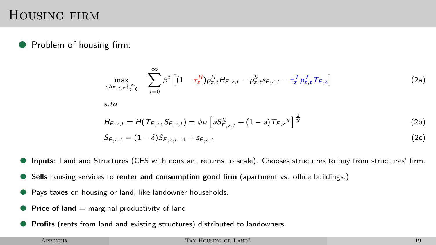#### Housing firm

Problem of housing firm:

$$
\max_{\{S_{F,z,t}\}_{t=0}^{\infty}} \sum_{t=0}^{\infty} \beta^t \left[ (1 - \tau_z^H) p_{z,t}^H H_{F,z,t} - p_{z,t}^S s_{F,z,t} - \tau_z^T p_{z,t}^T T_{F,z} \right]
$$
\ns.to\n
$$
H_{F,z,t} = H(T_{F,z}, S_{F,z,t}) = \phi_H \left[ a S_{F,z,t}^\chi + (1 - a) T_{F,z}^\chi \right]^\frac{1}{\chi}
$$
\n
$$
S_{F,z,t} = (1 - \delta) S_{F,z,t-1} + s_{F,z,t} \tag{2b}
$$

**Inputs**: Land and Structures (CES with constant returns to scale). Chooses structures to buy from structures' firm.

- **Sells** housing services to **renter and consumption good firm** (apartment vs. office buildings.)
- Pays taxes on housing or land, like landowner households.
- **Price of land**  $=$  marginal productivity of land
- Profits (rents from land and existing structures) distributed to landowners.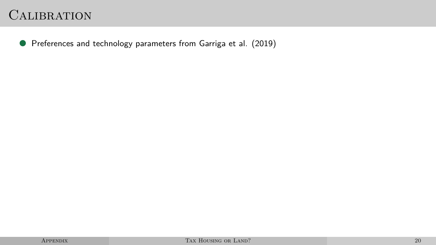<span id="page-43-0"></span>● Preferences and technology parameters from Garriga et al. (2019)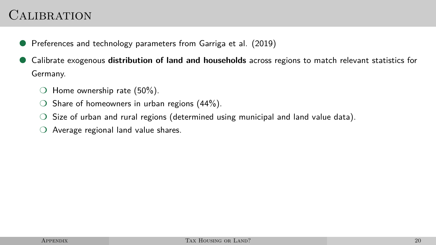- Preferences and technology parameters from Garriga et al. (2019)
- Calibrate exogenous **distribution of land and households** across regions to match relevant statistics for Germany.
	- $\bigcirc$  Home ownership rate (50%).
	- $\circ$  Share of homeowners in urban regions (44%).
	- $\bigcirc$  Size of urban and rural regions (determined using municipal and land value data).
	- ❍ Average regional land value shares.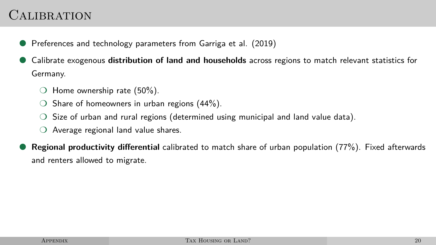- Preferences and technology parameters from Garriga et al. (2019)
- Calibrate exogenous **distribution of land and households** across regions to match relevant statistics for Germany.
	- $\bigcirc$  Home ownership rate (50%).
	- $\circ$  Share of homeowners in urban regions (44%).
	- $\bigcirc$  Size of urban and rural regions (determined using municipal and land value data).
	- ❍ Average regional land value shares.
- **Regional productivity differential** calibrated to match share of urban population (77%). Fixed afterwards and renters allowed to migrate.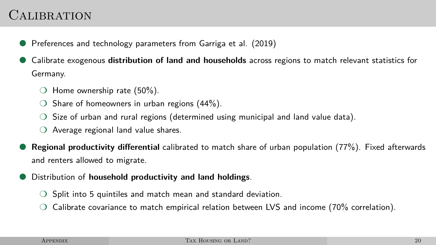- Preferences and technology parameters from Garriga et al. (2019)
- Calibrate exogenous **distribution of land and households** across regions to match relevant statistics for Germany.
	- $\bigcirc$  Home ownership rate (50%).
	- $\circ$  Share of homeowners in urban regions (44%).
	- $\bigcirc$  Size of urban and rural regions (determined using municipal and land value data).
	- ❍ Average regional land value shares.
- **Regional productivity differential** calibrated to match share of urban population (77%). Fixed afterwards and renters allowed to migrate.
- Distribution of **household productivity and land holdings**.
	- Split into 5 quintiles and match mean and standard deviation.
	- $\circ$  Calibrate covariance to match empirical relation between LVS and income (70% correlation).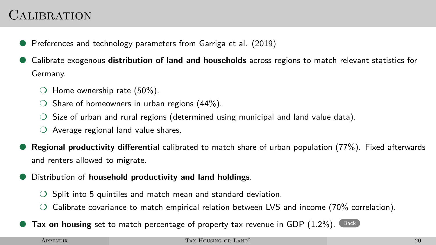- Preferences and technology parameters from Garriga et al. (2019)
- Calibrate exogenous **distribution of land and households** across regions to match relevant statistics for Germany.
	- $\bigcirc$  Home ownership rate (50%).
	- $\circ$  Share of homeowners in urban regions (44%).
	- $\bigcirc$  Size of urban and rural regions (determined using municipal and land value data).
	- ❍ Average regional land value shares.
- **Regional productivity differential** calibrated to match share of urban population (77%). Fixed afterwards and renters allowed to migrate.
- Distribution of **household productivity and land holdings**.
	- Split into 5 quintiles and match mean and standard deviation.
	- $\circ$  Calibrate covariance to match empirical relation between LVS and income (70% correlation).
- **Tax on housing** set to match percentage of property tax revenue in GDP  $(1.2\%)$ . [Back](#page-26-1)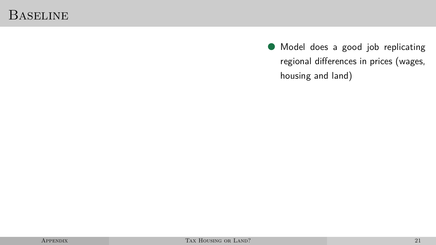#### Baseline

● Model does a good job replicating regional differences in prices (wages, housing and land)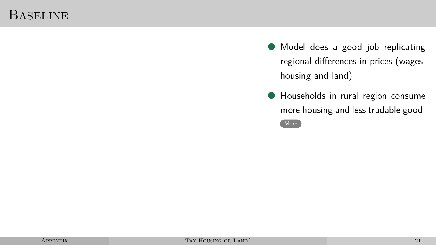#### Baseline

- Model does a good job replicating regional differences in prices (wages, housing and land)
- Households in rural region consume more housing and less tradable good.

[More](#page-0-0)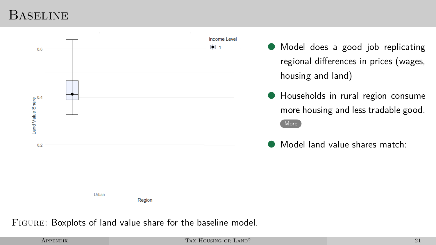#### **BASELINE**



#### Figure: Boxplots of land value share for the baseline model.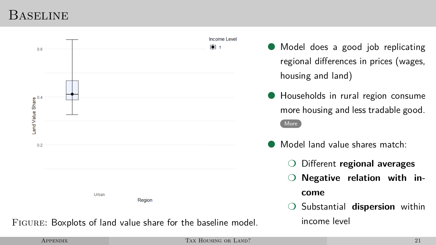#### Baseline

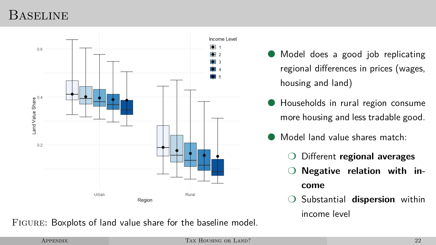### **BASELINE**



Figure: Boxplots of land value share for the baseline model.

Model does a good job replicating regional differences in prices (wages, housing and land)

- Households in rural region consume more housing and less tradable good.
- Model land value shares match:
	- ❍ Different **regional averages**
	- Negative relation with in**come**
	- ❍ Substantial **dispersion** within income level